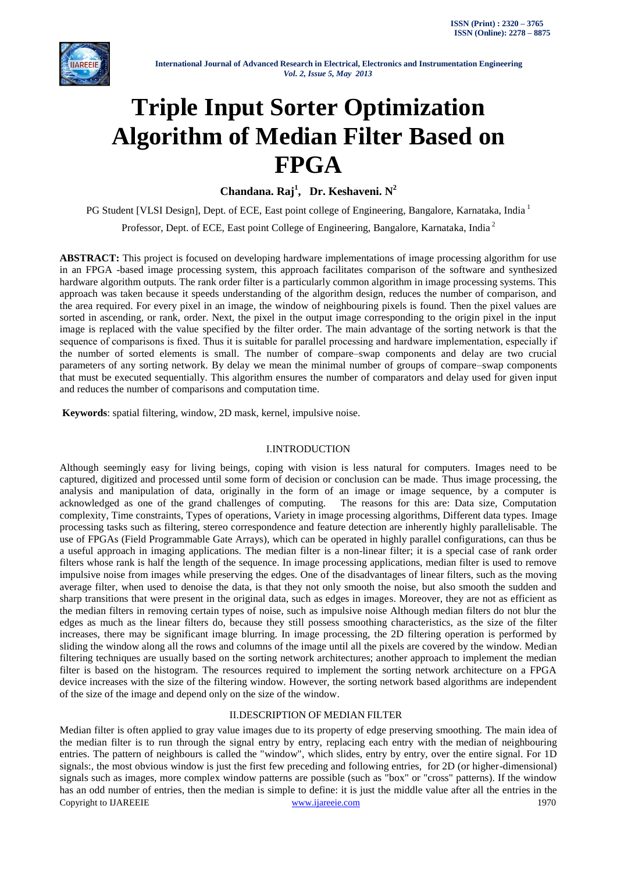

# **Triple Input Sorter Optimization Algorithm of Median Filter Based on FPGA**

**Chandana. Raj<sup>1</sup> , Dr. Keshaveni. N<sup>2</sup>**

PG Student [VLSI Design], Dept. of ECE, East point college of Engineering, Bangalore, Karnataka, India<sup>1</sup>

Professor, Dept. of ECE, East point College of Engineering, Bangalore, Karnataka, India <sup>2</sup>

**ABSTRACT:** This project is focused on developing hardware implementations of image processing algorithm for use in an FPGA -based image processing system, this approach facilitates comparison of the software and synthesized hardware algorithm outputs. The rank order filter is a particularly common algorithm in image processing systems. This approach was taken because it speeds understanding of the algorithm design, reduces the number of comparison, and the area required. For every pixel in an image, the window of neighbouring pixels is found. Then the pixel values are sorted in ascending, or rank, order. Next, the pixel in the output image corresponding to the origin pixel in the input image is replaced with the value specified by the filter order. The main advantage of the sorting network is that the sequence of comparisons is fixed. Thus it is suitable for parallel processing and hardware implementation, especially if the number of sorted elements is small. The number of compare–swap components and delay are two crucial parameters of any sorting network. By delay we mean the minimal number of groups of compare–swap components that must be executed sequentially. This algorithm ensures the number of comparators and delay used for given input and reduces the number of comparisons and computation time.

**Keywords**: spatial filtering, window, 2D mask, kernel, impulsive noise.

# I.INTRODUCTION

Although seemingly easy for living beings, coping with vision is less natural for computers. Images need to be captured, digitized and processed until some form of decision or conclusion can be made. Thus image processing, the analysis and manipulation of data, originally in the form of an image or image sequence, by a computer is acknowledged as one of the grand challenges of computing. The reasons for this are: Data size, Computation complexity, Time constraints, Types of operations, Variety in image processing algorithms, Different data types. Image processing tasks such as filtering, stereo correspondence and feature detection are inherently highly parallelisable. The use of FPGAs (Field Programmable Gate Arrays), which can be operated in highly parallel configurations, can thus be a useful approach in imaging applications. The median filter is a non-linear filter; it is a special case of rank order filters whose rank is half the length of the sequence. In image processing applications, median filter is used to remove impulsive noise from images while preserving the edges. One of the disadvantages of linear filters, such as the moving average filter, when used to denoise the data, is that they not only smooth the noise, but also smooth the sudden and sharp transitions that were present in the original data, such as edges in images. Moreover, they are not as efficient as the median filters in removing certain types of noise, such as impulsive noise Although median filters do not blur the edges as much as the linear filters do, because they still possess smoothing characteristics, as the size of the filter increases, there may be significant image blurring. In image processing, the 2D filtering operation is performed by sliding the window along all the rows and columns of the image until all the pixels are covered by the window. Median filtering techniques are usually based on the sorting network architectures; another approach to implement the median filter is based on the histogram. The resources required to implement the sorting network architecture on a FPGA device increases with the size of the filtering window. However, the sorting network based algorithms are independent of the size of the image and depend only on the size of the window.

# II.DESCRIPTION OF MEDIAN FILTER

Copyright to IJAREEIE [www.ijareeie.com](http://www.ijareeie.com/) 1970 Median filter is often applied to gray value images due to its property of edge preserving smoothing. The main idea of the median filter is to run through the signal entry by entry, replacing each entry with the [median](http://en.wikipedia.org/wiki/Median) of neighbouring entries. The pattern of neighbours is called the "window", which slides, entry by entry, over the entire signal. For 1D signals:, the most obvious window is just the first few preceding and following entries, for 2D (or higher-dimensional) signals such as images, more complex window patterns are possible (such as "box" or "cross" patterns). If the window has an odd number of entries, then the [median](http://en.wikipedia.org/wiki/Median) is simple to define: it is just the middle value after all the entries in the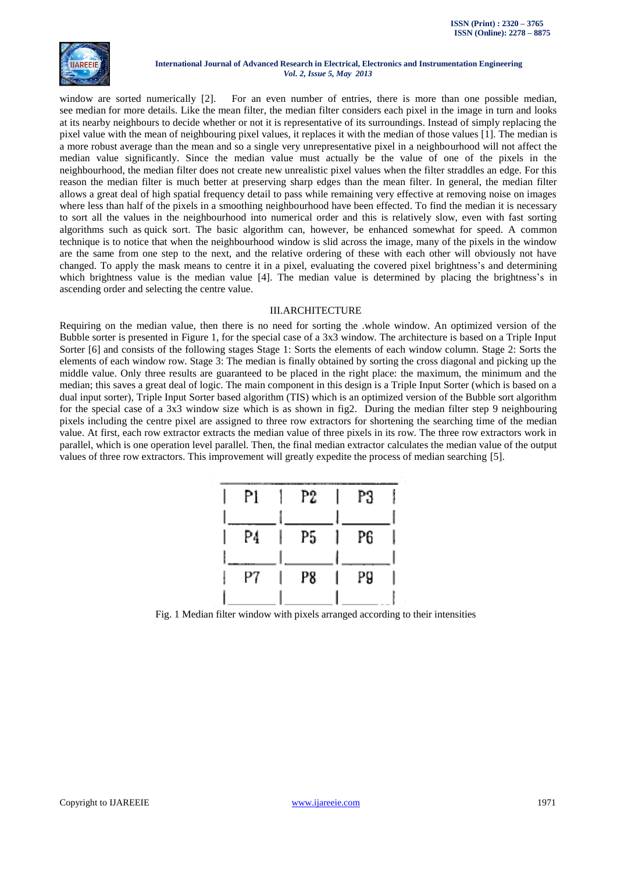

window are sorted numerically [2]. For an even number of entries, there is more than one possible median, see [median](http://en.wikipedia.org/wiki/Median) for more details. Like the [mean filter,](http://homepages.inf.ed.ac.uk/rbf/HIPR2/mean.htm) the median filter considers each pixel in the image in turn and looks at its nearby neighbours to decide whether or not it is representative of its surroundings. Instead of simply replacing the pixel value with the mean of neighbouring pixel values, it replaces it with the median of those values [1]. The median is a more robust average than the mean and so a single very unrepresentative pixel in a neighbourhood will not affect the median value significantly. Since the median value must actually be the value of one of the pixels in the neighbourhood, the median filter does not create new unrealistic pixel values when the filter straddles an edge. For this reason the median filter is much better at preserving sharp edges than the mean filter. In general, the median filter allows a great deal of high spatial frequency detail to pass while remaining very effective at removing noise on images where less than half of the pixels in a smoothing neighbourhood have been effected. To find the median it is necessary to sort all the values in the neighbourhood into numerical order and this is relatively slow, even with fast sorting algorithms such as quick sort. The basic algorithm can, however, be enhanced somewhat for speed. A common technique is to notice that when the neighbourhood window is slid across the image, many of the pixels in the window are the same from one step to the next, and the relative ordering of these with each other will obviously not have changed. To apply the mask means to centre it in a pixel, evaluating the covered pixel brightness's and determining which brightness value is the median value [4]. The median value is determined by placing the brightness's in ascending order and selecting the centre value.

#### III.ARCHITECTURE

Requiring on the median value, then there is no need for sorting the .whole window. An optimized version of the Bubble sorter is presented in Figure 1, for the special case of a 3x3 window. The architecture is based on a Triple Input Sorter [6] and consists of the following stages Stage 1: Sorts the elements of each window column. Stage 2: Sorts the elements of each window row. Stage 3: The median is finally obtained by sorting the cross diagonal and picking up the middle value. Only three results are guaranteed to be placed in the right place: the maximum, the minimum and the median; this saves a great deal of logic. The main component in this design is a Triple Input Sorter (which is based on a dual input sorter), Triple Input Sorter based algorithm (TIS) which is an optimized version of the Bubble sort algorithm for the special case of a 3x3 window size which is as shown in fig2. During the median filter step 9 neighbouring pixels including the centre pixel are assigned to three row extractors for shortening the searching time of the median value. At first, each row extractor extracts the median value of three pixels in its row. The three row extractors work in parallel, which is one operation level parallel. Then, the final median extractor calculates the median value of the output values of three row extractors. This improvement will greatly expedite the process of median searching [5].

| Pl | P2 | P3 |
|----|----|----|
|    |    |    |
| P4 | P5 | P6 |
|    |    |    |
| Ρ7 | P8 | P9 |
|    |    |    |

Fig. 1 Median filter window with pixels arranged according to their intensities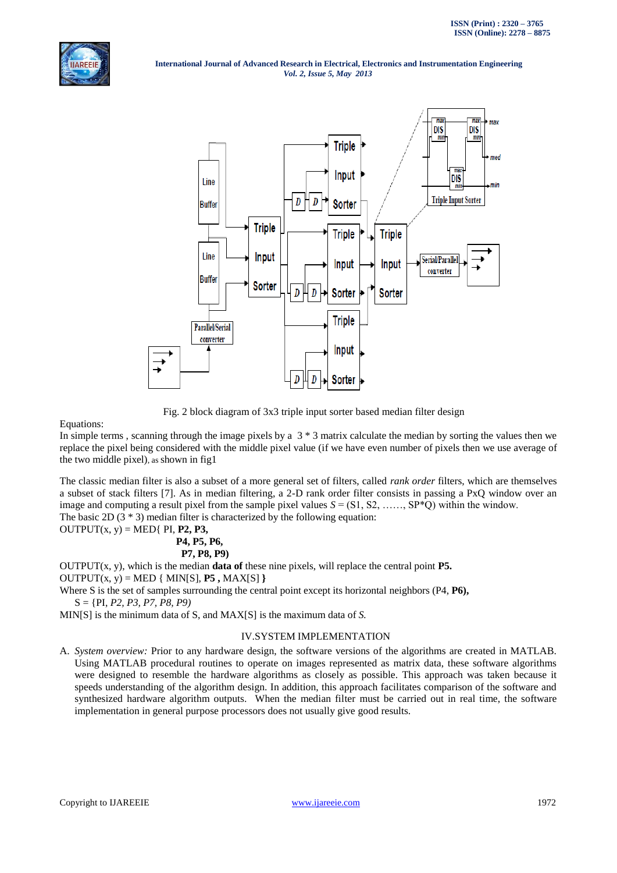



Fig. 2 block diagram of 3x3 triple input sorter based median filter design

#### Equations:

In simple terms, scanning through the image pixels by a  $3 * 3$  matrix calculate the median by sorting the values then we replace the pixel being considered with the middle pixel value (if we have even number of pixels then we use average of the two middle pixel), as shown in fig1

The classic median filter is also a subset of a more general set of filters, called *rank order* filters, which are themselves a subset of stack filters [7]. As in median filtering, a 2-D rank order filter consists in passing a PxQ window over an image and computing a result pixel from the sample pixel values  $S = (S1, S2, \ldots, SP^*Q)$  within the window. The basic 2D  $(3 * 3)$  median filter is characterized by the following equation:

OUTPUT(x, y) = MED{ PI, **P2, P3, P4, P5, P6, P7, P8, P9)**

OUTPUT(x, y), which is the median **data of** these nine pixels, will replace the central point **P5.**

 $OUTPUT(x, y) = MED { MIN[S], P5, MAX[S]}$ 

Where S is the set of samples surrounding the central point except its horizontal neighbors (P4, **P6),** S = {PI, *P2, P3, P7, P8, P9)*

MIN[S] is the minimum data of S, and MAX[S] is the maximum data of *S.*

# IV.SYSTEM IMPLEMENTATION

A. *System overview:* Prior to any hardware design, the software versions of the algorithms are created in MATLAB. Using MATLAB procedural routines to operate on images represented as matrix data, these software algorithms were designed to resemble the hardware algorithms as closely as possible. This approach was taken because it speeds understanding of the algorithm design. In addition, this approach facilitates comparison of the software and synthesized hardware algorithm outputs. When the median filter must be carried out in real time, the software implementation in general purpose processors does not usually give good results.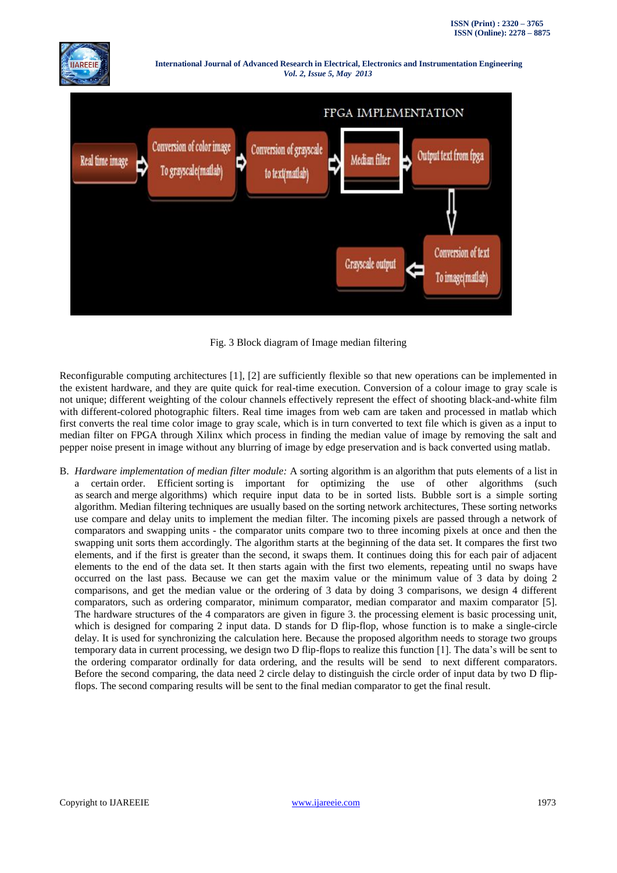



Fig. 3 Block diagram of Image median filtering

Reconfigurable computing architectures [1], [2] are sufficiently flexible so that new operations can be implemented in the existent hardware, and they are quite quick for real-time execution. Conversion of a colour image to gray scale is not unique; different weighting of the colour channels effectively represent the effect of shooting black-and-white film with different-colored [photographic filters.](http://en.wikipedia.org/wiki/Photographic_filter) Real time images from web cam are taken and processed in matlab which first converts the real time color image to gray scale, which is in turn converted to text file which is given as a input to median filter on FPGA through Xilinx which process in finding the median value of image by removing the salt and pepper noise present in image without any blurring of image by edge preservation and is back converted using matlab.

B. *Hardware implementation of median filter module:* A sorting algorithm is an [algorithm](http://en.wikipedia.org/wiki/Algorithm) that puts elements of a [list](http://en.wikipedia.org/wiki/List_(computing)) in a certain [order.](http://en.wikipedia.org/wiki/Total_order) Efficient [sorting](http://en.wikipedia.org/wiki/Sorting) is important for optimizing the use of other algorithms (such as [search](http://en.wikipedia.org/wiki/Search_algorithm) and [merge](http://en.wikipedia.org/wiki/Merge_algorithm) algorithms) which require input data to be in sorted lists. Bubble sort is a simple sorting algorithm. Median filtering techniques are usually based on the sorting network architectures, These sorting networks use compare and delay units to implement the median filter. The incoming pixels are passed through a network of comparators and swapping units - the comparator units compare two to three incoming pixels at once and then the swapping unit sorts them accordingly. The algorithm starts at the beginning of the data set. It compares the first two elements, and if the first is greater than the second, it swaps them. It continues doing this for each pair of adjacent elements to the end of the data set. It then starts again with the first two elements, repeating until no swaps have occurred on the last pass. Because we can get the maxim value or the minimum value of 3 data by doing 2 comparisons, and get the median value or the ordering of 3 data by doing 3 comparisons, we design 4 different comparators, such as ordering comparator, minimum comparator, median comparator and maxim comparator [5]. The hardware structures of the 4 comparators are given in figure 3. the processing element is basic processing unit, which is designed for comparing 2 input data. D stands for D flip-flop, whose function is to make a single-circle delay. It is used for synchronizing the calculation here. Because the proposed algorithm needs to storage two groups temporary data in current processing, we design two D flip-flops to realize this function [1]. The data's will be sent to the ordering comparator ordinally for data ordering, and the results will be send to next different comparators. Before the second comparing, the data need 2 circle delay to distinguish the circle order of input data by two D flipflops. The second comparing results will be sent to the final median comparator to get the final result.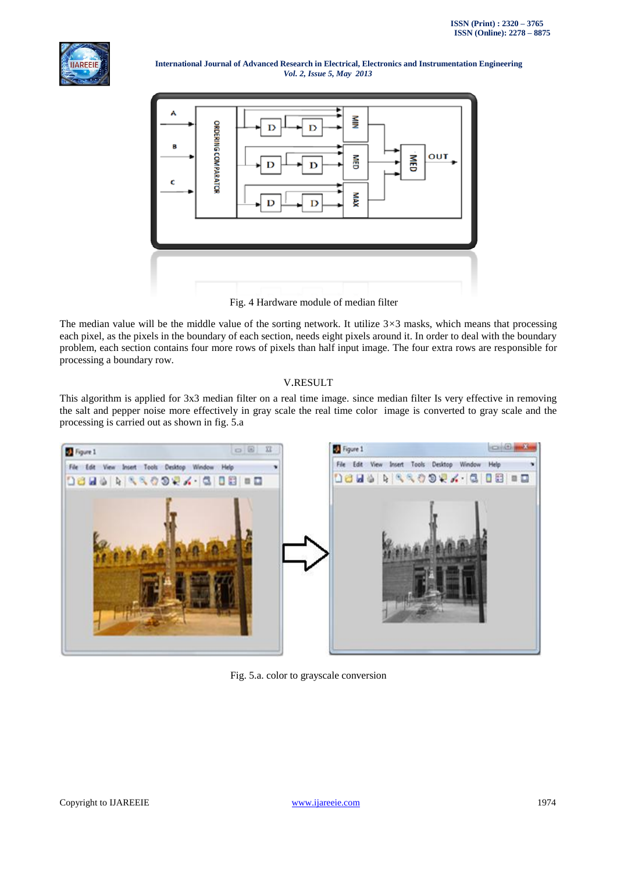



Fig. 4 Hardware module of median filter

The median value will be the middle value of the sorting network. It utilize 3*×*3 masks, which means that processing each pixel, as the pixels in the boundary of each section, needs eight pixels around it. In order to deal with the boundary problem, each section contains four more rows of pixels than half input image. The four extra rows are responsible for processing a boundary row.

# V.RESULT

This algorithm is applied for 3x3 median filter on a real time image. since median filter Is very effective in removing the salt and pepper noise more effectively in gray scale the real time color image is converted to gray scale and the processing is carried out as shown in fig. 5.a



Fig. 5.a. color to grayscale conversion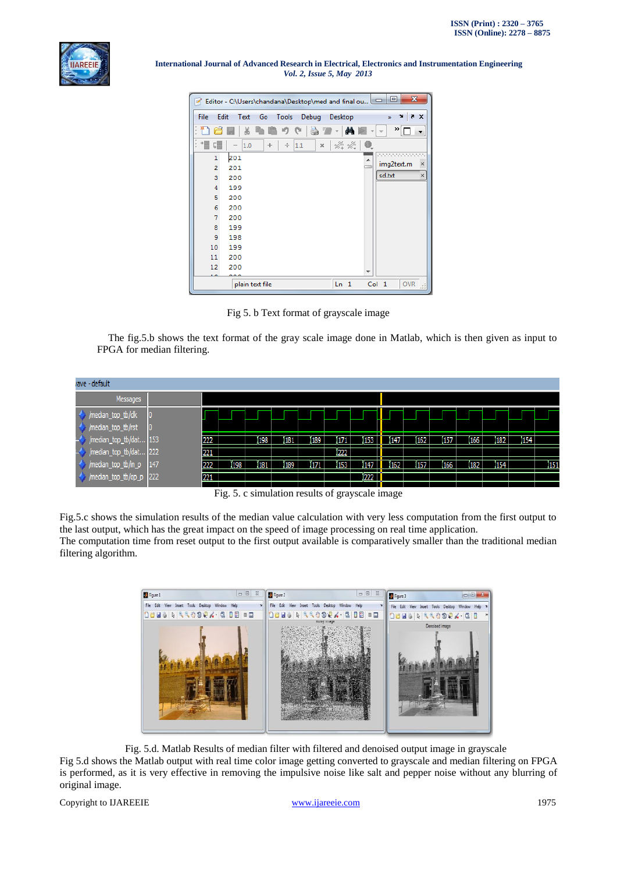

| $\mathbf{x}$<br>▣<br>Editor - C:\Users\chandana\Desktop\med and final ou |                                      |                 |                 |                     |                           |  |  |  |  |
|--------------------------------------------------------------------------|--------------------------------------|-----------------|-----------------|---------------------|---------------------------|--|--|--|--|
| File                                                                     | Edit<br>Text                         | Go<br>Tools     | Debug           | Desktop             | X F<br>'N<br>$\mathbf{x}$ |  |  |  |  |
| t                                                                        | ¥                                    |                 |                 | АÅ                  | ≫∣                        |  |  |  |  |
| 帽<br>Î,                                                                  | 댸<br>1.0<br>$\overline{\phantom{a}}$ | ÷<br>÷          | 1.1<br>$\times$ | <b>x4 x4</b>        |                           |  |  |  |  |
|                                                                          | 201<br>1                             |                 |                 |                     | <b></b><br>┻              |  |  |  |  |
|                                                                          | 2<br>201                             |                 |                 |                     | img2text.m<br>$\times$    |  |  |  |  |
|                                                                          | 3<br>200                             |                 |                 |                     | sd.txt<br>×               |  |  |  |  |
|                                                                          | 4<br>199                             |                 |                 |                     |                           |  |  |  |  |
|                                                                          | 5<br>200                             |                 |                 |                     |                           |  |  |  |  |
|                                                                          | 6<br>200                             |                 |                 |                     |                           |  |  |  |  |
|                                                                          | 7<br>200                             |                 |                 |                     |                           |  |  |  |  |
|                                                                          | 8<br>199                             |                 |                 |                     |                           |  |  |  |  |
|                                                                          | 9<br>198                             |                 |                 |                     |                           |  |  |  |  |
| 10                                                                       | 199                                  |                 |                 |                     |                           |  |  |  |  |
| 11                                                                       | 200                                  |                 |                 |                     |                           |  |  |  |  |
| 12                                                                       | 200                                  |                 |                 |                     |                           |  |  |  |  |
|                                                                          |                                      |                 |                 |                     | ┯                         |  |  |  |  |
|                                                                          |                                      | plain text file | Ln 1            | Col 1<br><b>OVR</b> |                           |  |  |  |  |

Fig 5. b Text format of grayscale image

The fig.5.b shows the text format of the gray scale image done in Matlab, which is then given as input to FPGA for median filtering.

| rave - default             |     |     |     |      |      |        |      |      |     |     |         |                  |     |              |
|----------------------------|-----|-----|-----|------|------|--------|------|------|-----|-----|---------|------------------|-----|--------------|
| Messages                   |     |     |     |      |      |        |      |      |     |     |         |                  |     |              |
| /median_top_tb/clk<br>0    |     |     |     |      |      |        |      |      |     |     |         |                  |     |              |
| /median_top_tb/rst<br>10   |     |     |     |      |      |        |      |      |     |     |         |                  |     |              |
| /median_top_tb/dat 153     | 222 |     | 198 | 181  | 189  | 1171   | 153  | ĭ147 | 162 | 157 | 166     | 182 <sub>1</sub> | 154 |              |
| /median_top_tb/dat 222     | 221 |     |     |      |      | 1222   |      |      |     |     |         |                  |     |              |
| 147<br>/median_top_tb/in_p | 222 | 198 | 181 | 1189 | 1171 | 153    | 147  | 162  | 157 | 166 | $182 -$ | 154              |     | $\sqrt{151}$ |
| /median_top_tb/op_p 222    | 221 |     |     |      |      |        | 1222 |      |     |     |         |                  |     |              |
|                            | --  |     |     | .    |      | $\sim$ | . .  |      |     |     |         |                  |     |              |

Fig. 5. c simulation results of grayscale image

Fig.5.c shows the simulation results of the median value calculation with very less computation from the first output to the last output, which has the great impact on the speed of image processing on real time application. The computation time from reset output to the first output available is comparatively smaller than the traditional median filtering algorithm.



Fig. 5.d. Matlab Results of median filter with filtered and denoised output image in grayscale Fig 5.d shows the Matlab output with real time color image getting converted to grayscale and median filtering on FPGA is performed, as it is very effective in removing the impulsive noise like salt and pepper noise without any blurring of original image.